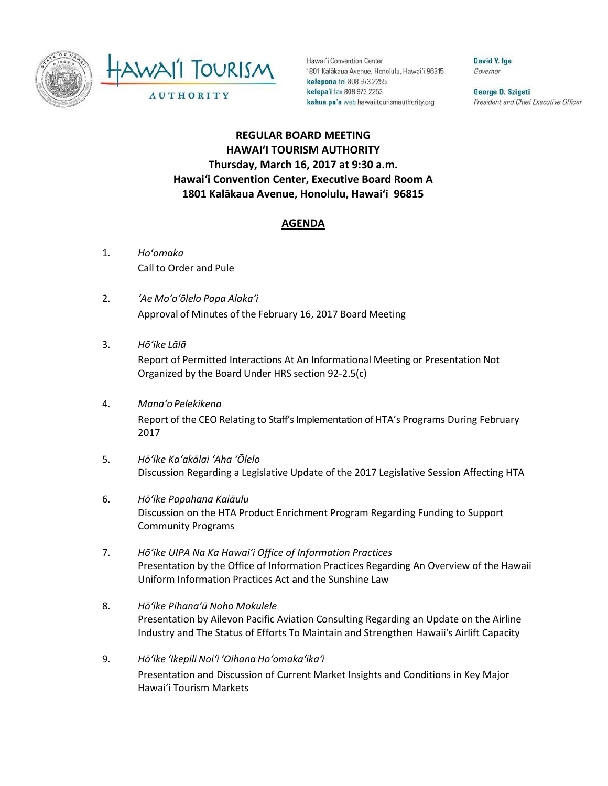



Hawai'i Convention Center 1801 Kalākaua Avenue, Honolulu, Hawai'i 96815 kelepona tel 808 973 2255 kelepa'i fax 808 973 2253 kahua pa'a web hawaiitourismauthority.org

David Y. Ige Governor

George D. Szigeti President and Chief Executive Officer

## **REGULAR BOARD MEETING HAWAI'I TOURISM AUTHORITY Thursday, March 16, 2017 at 9:30 a.m. Hawai'i Convention Center, Executive Board Room A 1801 Kalākaua Avenue, Honolulu, Hawai'i 96815**

## **AGENDA**

- 1. *Ho'omaka* Call to Order and Pule
- 2. *'Ae Mo'o'ōlelo Papa Alaka'i* Approval of Minutes of the February 16, 2017 Board Meeting
- 3. *Hō'ike Lālā* Report of Permitted Interactions At An Informational Meeting or Presentation Not Organized by the Board Under HRS section 92-2.5(c)
- 4. *Mana'o Pelekikena* Report of the CEO Relating to Staff's Implementation of HTA's Programs During February 2017
- 5. *Hō'ike Ka'akālai 'Aha 'Ōlelo*  Discussion Regarding a Legislative Update of the 2017 Legislative Session Affecting HTA
- 6. *Hō'ike Papahana Kaiāulu* Discussion on the HTA Product Enrichment Program Regarding Funding to Support Community Programs
- 7. *Hō'ike UIPA Na Ka Hawai'i Office of Information Practices* Presentation by the Office of Information Practices Regarding An Overview of the Hawaii Uniform Information Practices Act and the Sunshine Law
- 8. *Hō'ike Pihanaʻū Noho Mokulele* Presentation by Ailevon Pacific Aviation Consulting Regarding an Update on the Airline Industry and The Status of Efforts To Maintain and Strengthen Hawaii's Airlift Capacity
- 9. *Hō'ike 'Ikepili Noi'i 'Oihana Ho'omaka'ika'i* Presentation and Discussion of Current Market Insights and Conditions in Key Major Hawai'i Tourism Markets